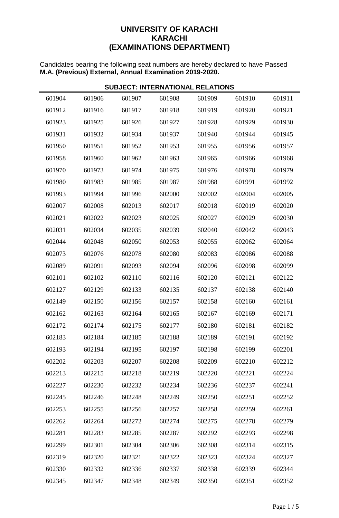## **UNIVERSITY OF KARACHI KARACHI (EXAMINATIONS DEPARTMENT)**

Candidates bearing the following seat numbers are hereby declared to have Passed **M.A. (Previous) External, Annual Examination 2019-2020.**

| <b>SUBJECT: INTERNATIONAL RELATIONS</b> |        |        |        |        |        |        |  |  |  |
|-----------------------------------------|--------|--------|--------|--------|--------|--------|--|--|--|
| 601904                                  | 601906 | 601907 | 601908 | 601909 | 601910 | 601911 |  |  |  |
| 601912                                  | 601916 | 601917 | 601918 | 601919 | 601920 | 601921 |  |  |  |
| 601923                                  | 601925 | 601926 | 601927 | 601928 | 601929 | 601930 |  |  |  |
| 601931                                  | 601932 | 601934 | 601937 | 601940 | 601944 | 601945 |  |  |  |
| 601950                                  | 601951 | 601952 | 601953 | 601955 | 601956 | 601957 |  |  |  |
| 601958                                  | 601960 | 601962 | 601963 | 601965 | 601966 | 601968 |  |  |  |
| 601970                                  | 601973 | 601974 | 601975 | 601976 | 601978 | 601979 |  |  |  |
| 601980                                  | 601983 | 601985 | 601987 | 601988 | 601991 | 601992 |  |  |  |
| 601993                                  | 601994 | 601996 | 602000 | 602002 | 602004 | 602005 |  |  |  |
| 602007                                  | 602008 | 602013 | 602017 | 602018 | 602019 | 602020 |  |  |  |
| 602021                                  | 602022 | 602023 | 602025 | 602027 | 602029 | 602030 |  |  |  |
| 602031                                  | 602034 | 602035 | 602039 | 602040 | 602042 | 602043 |  |  |  |
| 602044                                  | 602048 | 602050 | 602053 | 602055 | 602062 | 602064 |  |  |  |
| 602073                                  | 602076 | 602078 | 602080 | 602083 | 602086 | 602088 |  |  |  |
| 602089                                  | 602091 | 602093 | 602094 | 602096 | 602098 | 602099 |  |  |  |
| 602101                                  | 602102 | 602110 | 602116 | 602120 | 602121 | 602122 |  |  |  |
| 602127                                  | 602129 | 602133 | 602135 | 602137 | 602138 | 602140 |  |  |  |
| 602149                                  | 602150 | 602156 | 602157 | 602158 | 602160 | 602161 |  |  |  |
| 602162                                  | 602163 | 602164 | 602165 | 602167 | 602169 | 602171 |  |  |  |
| 602172                                  | 602174 | 602175 | 602177 | 602180 | 602181 | 602182 |  |  |  |
| 602183                                  | 602184 | 602185 | 602188 | 602189 | 602191 | 602192 |  |  |  |
| 602193                                  | 602194 | 602195 | 602197 | 602198 | 602199 | 602201 |  |  |  |
| 602202                                  | 602203 | 602207 | 602208 | 602209 | 602210 | 602212 |  |  |  |
| 602213                                  | 602215 | 602218 | 602219 | 602220 | 602221 | 602224 |  |  |  |
| 602227                                  | 602230 | 602232 | 602234 | 602236 | 602237 | 602241 |  |  |  |
| 602245                                  | 602246 | 602248 | 602249 | 602250 | 602251 | 602252 |  |  |  |
| 602253                                  | 602255 | 602256 | 602257 | 602258 | 602259 | 602261 |  |  |  |
| 602262                                  | 602264 | 602272 | 602274 | 602275 | 602278 | 602279 |  |  |  |
| 602281                                  | 602283 | 602285 | 602287 | 602292 | 602293 | 602298 |  |  |  |
| 602299                                  | 602301 | 602304 | 602306 | 602308 | 602314 | 602315 |  |  |  |
| 602319                                  | 602320 | 602321 | 602322 | 602323 | 602324 | 602327 |  |  |  |
| 602330                                  | 602332 | 602336 | 602337 | 602338 | 602339 | 602344 |  |  |  |
| 602345                                  | 602347 | 602348 | 602349 | 602350 | 602351 | 602352 |  |  |  |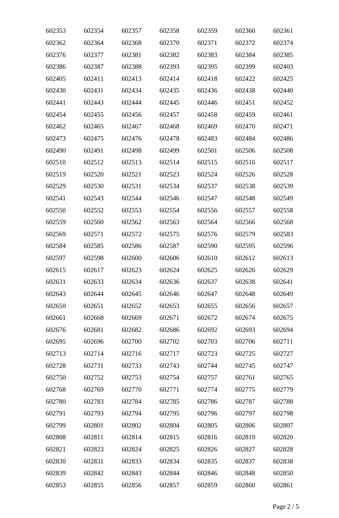| 602353 | 602354 | 602357 | 602358 | 602359 | 602360 | 602361 |
|--------|--------|--------|--------|--------|--------|--------|
| 602362 | 602364 | 602368 | 602370 | 602371 | 602372 | 602374 |
| 602376 | 602377 | 602381 | 602382 | 602383 | 602384 | 602385 |
| 602386 | 602387 | 602388 | 602393 | 602395 | 602399 | 602403 |
| 602405 | 602411 | 602413 | 602414 | 602418 | 602422 | 602425 |
| 602430 | 602431 | 602434 | 602435 | 602436 | 602438 | 602440 |
| 602441 | 602443 | 602444 | 602445 | 602446 | 602451 | 602452 |
| 602454 | 602455 | 602456 | 602457 | 602458 | 602459 | 602461 |
| 602462 | 602465 | 602467 | 602468 | 602469 | 602470 | 602471 |
| 602473 | 602475 | 602476 | 602478 | 602483 | 602484 | 602486 |
| 602490 | 602491 | 602498 | 602499 | 602501 | 602506 | 602508 |
| 602510 | 602512 | 602513 | 602514 | 602515 | 602516 | 602517 |
| 602519 | 602520 | 602521 | 602523 | 602524 | 602526 | 602528 |
| 602529 | 602530 | 602531 | 602534 | 602537 | 602538 | 602539 |
| 602541 | 602543 | 602544 | 602546 | 602547 | 602548 | 602549 |
| 602550 | 602552 | 602553 | 602554 | 602556 | 602557 | 602558 |
| 602559 | 602560 | 602562 | 602563 | 602564 | 602566 | 602568 |
| 602569 | 602571 | 602572 | 602575 | 602576 | 602579 | 602583 |
| 602584 | 602585 | 602586 | 602587 | 602590 | 602595 | 602596 |
| 602597 | 602598 | 602600 | 602606 | 602610 | 602612 | 602613 |
| 602615 | 602617 | 602623 | 602624 | 602625 | 602626 | 602629 |
| 602631 | 602633 | 602634 | 602636 | 602637 | 602638 | 602641 |
| 602643 | 602644 | 602645 | 602646 | 602647 | 602648 | 602649 |
| 602650 | 602651 | 602652 | 602653 | 602655 | 602656 | 602657 |
| 602661 | 602668 | 602669 | 602671 | 602672 | 602674 | 602675 |
| 602676 | 602681 | 602682 | 602686 | 602692 | 602693 | 602694 |
| 602695 | 602696 | 602700 | 602702 | 602703 | 602706 | 602711 |
| 602713 | 602714 | 602716 | 602717 | 602723 | 602725 | 602727 |
| 602728 | 602731 | 602733 | 602743 | 602744 | 602745 | 602747 |
| 602750 | 602752 | 602753 | 602754 | 602757 | 602761 | 602765 |
| 602768 | 602769 | 602770 | 602771 | 602774 | 602775 | 602779 |
| 602780 | 602783 | 602784 | 602785 | 602786 | 602787 | 602788 |
| 602791 | 602793 | 602794 | 602795 | 602796 | 602797 | 602798 |
| 602799 | 602801 | 602802 | 602804 | 602805 | 602806 | 602807 |
| 602808 | 602811 | 602814 | 602815 | 602816 | 602819 | 602820 |
| 602821 | 602823 | 602824 | 602825 | 602826 | 602827 | 602828 |
| 602830 | 602831 | 602833 | 602834 | 602835 | 602837 | 602838 |
| 602839 | 602842 | 602843 | 602844 | 602846 | 602848 | 602850 |
| 602853 | 602855 | 602856 | 602857 | 602859 | 602860 | 602861 |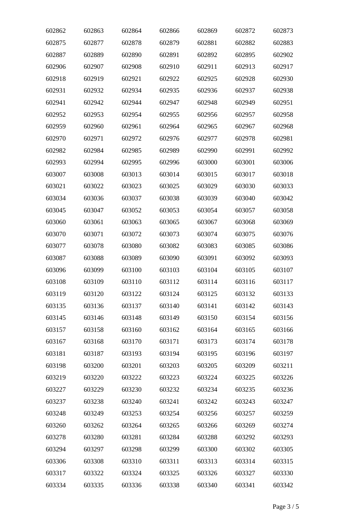| 602862 | 602863 | 602864 | 602866 | 602869 | 602872 | 602873 |
|--------|--------|--------|--------|--------|--------|--------|
| 602875 | 602877 | 602878 | 602879 | 602881 | 602882 | 602883 |
| 602887 | 602889 | 602890 | 602891 | 602892 | 602895 | 602902 |
| 602906 | 602907 | 602908 | 602910 | 602911 | 602913 | 602917 |
| 602918 | 602919 | 602921 | 602922 | 602925 | 602928 | 602930 |
| 602931 | 602932 | 602934 | 602935 | 602936 | 602937 | 602938 |
| 602941 | 602942 | 602944 | 602947 | 602948 | 602949 | 602951 |
| 602952 | 602953 | 602954 | 602955 | 602956 | 602957 | 602958 |
| 602959 | 602960 | 602961 | 602964 | 602965 | 602967 | 602968 |
| 602970 | 602971 | 602972 | 602976 | 602977 | 602978 | 602981 |
| 602982 | 602984 | 602985 | 602989 | 602990 | 602991 | 602992 |
| 602993 | 602994 | 602995 | 602996 | 603000 | 603001 | 603006 |
| 603007 | 603008 | 603013 | 603014 | 603015 | 603017 | 603018 |
| 603021 | 603022 | 603023 | 603025 | 603029 | 603030 | 603033 |
| 603034 | 603036 | 603037 | 603038 | 603039 | 603040 | 603042 |
| 603045 | 603047 | 603052 | 603053 | 603054 | 603057 | 603058 |
| 603060 | 603061 | 603063 | 603065 | 603067 | 603068 | 603069 |
| 603070 | 603071 | 603072 | 603073 | 603074 | 603075 | 603076 |
| 603077 | 603078 | 603080 | 603082 | 603083 | 603085 | 603086 |
| 603087 | 603088 | 603089 | 603090 | 603091 | 603092 | 603093 |
| 603096 | 603099 | 603100 | 603103 | 603104 | 603105 | 603107 |
| 603108 | 603109 | 603110 | 603112 | 603114 | 603116 | 603117 |
| 603119 | 603120 | 603122 | 603124 | 603125 | 603132 | 603133 |
| 603135 | 603136 | 603137 | 603140 | 603141 | 603142 | 603143 |
| 603145 | 603146 | 603148 | 603149 | 603150 | 603154 | 603156 |
| 603157 | 603158 | 603160 | 603162 | 603164 | 603165 | 603166 |
| 603167 | 603168 | 603170 | 603171 | 603173 | 603174 | 603178 |
| 603181 | 603187 | 603193 | 603194 | 603195 | 603196 | 603197 |
| 603198 | 603200 | 603201 | 603203 | 603205 | 603209 | 603211 |
| 603219 | 603220 | 603222 | 603223 | 603224 | 603225 | 603226 |
| 603227 | 603229 | 603230 | 603232 | 603234 | 603235 | 603236 |
| 603237 | 603238 | 603240 | 603241 | 603242 | 603243 | 603247 |
| 603248 | 603249 | 603253 | 603254 | 603256 | 603257 | 603259 |
| 603260 | 603262 | 603264 | 603265 | 603266 | 603269 | 603274 |
| 603278 | 603280 | 603281 | 603284 | 603288 | 603292 | 603293 |
| 603294 | 603297 | 603298 | 603299 | 603300 | 603302 | 603305 |
| 603306 | 603308 | 603310 | 603311 | 603313 | 603314 | 603315 |
| 603317 | 603322 | 603324 | 603325 | 603326 | 603327 | 603330 |
| 603334 | 603335 | 603336 | 603338 | 603340 | 603341 | 603342 |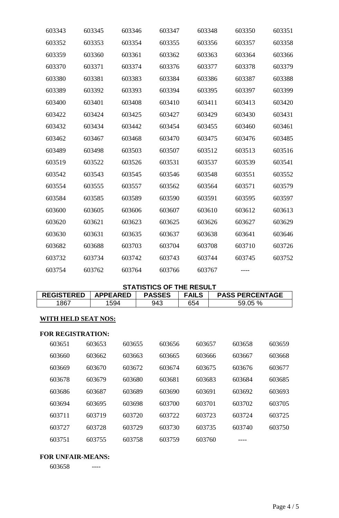| 603343 | 603345 | 603346 | 603347 | 603348 | 603350 | 603351 |
|--------|--------|--------|--------|--------|--------|--------|
| 603352 | 603353 | 603354 | 603355 | 603356 | 603357 | 603358 |
| 603359 | 603360 | 603361 | 603362 | 603363 | 603364 | 603366 |
| 603370 | 603371 | 603374 | 603376 | 603377 | 603378 | 603379 |
| 603380 | 603381 | 603383 | 603384 | 603386 | 603387 | 603388 |
| 603389 | 603392 | 603393 | 603394 | 603395 | 603397 | 603399 |
| 603400 | 603401 | 603408 | 603410 | 603411 | 603413 | 603420 |
| 603422 | 603424 | 603425 | 603427 | 603429 | 603430 | 603431 |
| 603432 | 603434 | 603442 | 603454 | 603455 | 603460 | 603461 |
| 603462 | 603467 | 603468 | 603470 | 603475 | 603476 | 603485 |
| 603489 | 603498 | 603503 | 603507 | 603512 | 603513 | 603516 |
| 603519 | 603522 | 603526 | 603531 | 603537 | 603539 | 603541 |
| 603542 | 603543 | 603545 | 603546 | 603548 | 603551 | 603552 |
| 603554 | 603555 | 603557 | 603562 | 603564 | 603571 | 603579 |
| 603584 | 603585 | 603589 | 603590 | 603591 | 603595 | 603597 |
| 603600 | 603605 | 603606 | 603607 | 603610 | 603612 | 603613 |
| 603620 | 603621 | 603623 | 603625 | 603626 | 603627 | 603629 |
| 603630 | 603631 | 603635 | 603637 | 603638 | 603641 | 603646 |
| 603682 | 603688 | 603703 | 603704 | 603708 | 603710 | 603726 |
| 603732 | 603734 | 603742 | 603743 | 603744 | 603745 | 603752 |
| 603754 | 603762 | 603764 | 603766 | 603767 |        |        |
|        |        |        |        |        |        |        |

## **STATISTICS OF THE RESULT**

| <b>REGISTERED</b>          | <b>APPEARED</b> |        | <b>PASSES</b> | <b>FAILS</b> | <b>PASS PERCENTAGE</b> |        |
|----------------------------|-----------------|--------|---------------|--------------|------------------------|--------|
| 1867                       | 1594            |        | 943           | 654          | 59.05 %                |        |
| <b>WITH HELD SEAT NOS:</b> |                 |        |               |              |                        |        |
| <b>FOR REGISTRATION:</b>   |                 |        |               |              |                        |        |
| 603651                     | 603653          | 603655 | 603656        | 603657       | 603658                 | 603659 |
| 603660                     | 603662          | 603663 | 603665        | 603666       | 603667                 | 603668 |
| 603669                     | 603670          | 603672 | 603674        | 603675       | 603676                 | 603677 |
| 603678                     | 603679          | 603680 | 603681        | 603683       | 603684                 | 603685 |

| <u> vvjvi v</u> | 000017 | <u>vujuut</u> | <u>UUJUUT</u> | <u>uusuus</u> | <u>UUJUUT</u> | <u>uusuus</u> |
|-----------------|--------|---------------|---------------|---------------|---------------|---------------|
| 603686          | 603687 | 603689        | 603690        | 603691        | 603692        | 603693        |
| 603694          | 603695 | 603698        | 603700        | 603701        | 603702        | 603705        |
| 603711          | 603719 | 603720        | 603722        | 603723        | 603724        | 603725        |
| 603727          | 603728 | 603729        | 603730        | 603735        | 603740        | 603750        |
| 603751          | 603755 | 603758        | 603759        | 603760        |               |               |

#### **FOR UNFAIR-MEANS:**

----